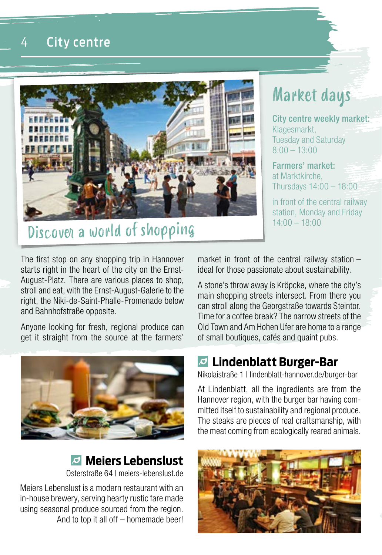#### 4 City centre



# Discover a world of shopping

#### The first stop on any shopping trip in Hannover starts right in the heart of the city on the Ernst-August-Platz. There are various places to shop, stroll and eat, with the Ernst-August-Galerie to the right, the Niki-de-Saint-Phalle-Promenade below and Bahnhofstraße opposite.

Anyone looking for fresh, regional produce can get it straight from the source at the farmers'



#### **Meiers Lebenslust** Osterstraße 64 | meiers-lebenslust.de

Meiers Lebenslust is a modern restaurant with an in-house brewery, serving hearty rustic fare made using seasonal produce sourced from the region. And to top it all off – homemade beer! market in front of the central railway station – ideal for those passionate about sustainability.

A stone's throw away is Kröpcke, where the city's main shopping streets intersect. From there you can stroll along the Georgstraße towards Steintor. Time for a coffee break? The narrow streets of the Old Town and Am Hohen Ufer are home to a range of small boutiques, cafés and quaint pubs.

#### **Lindenblatt Burger-Bar**

Nikolaistraße 1 | lindenblatt-hannover.de/burger-bar

At Lindenblatt, all the ingredients are from the Hannover region, with the burger bar having committed itself to sustainability and regional produce. The steaks are pieces of real craftsmanship, with the meat coming from ecologically reared animals.



# Market days

City centre weekly market: Klagesmarkt, Tuesday and Saturday  $8:00 - 13:00$ 

Farmers' market: at Marktkirche, Thursdays 14:00 – 18:00

in front of the central railway station, Monday and Friday 14:00 – 18:00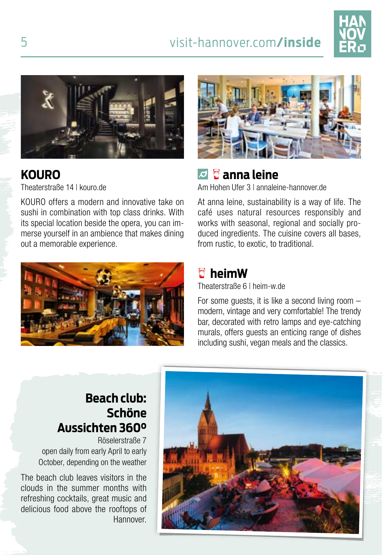# 5 visit-hannover.com**/inside**





#### **KOURO**

Theaterstraße 14 | kouro.de

KOURO offers a modern and innovative take on sushi in combination with top class drinks. With its special location beside the opera, you can immerse yourself in an ambience that makes dining out a memorable experience.





# **anna leine**

Am Hohen Ufer 3 | annaleine-hannover.de

At anna leine, sustainability is a way of life. The café uses natural resources responsibly and works with seasonal, regional and socially produced ingredients. The cuisine covers all bases, from rustic, to exotic, to traditional.

## **heimW**

Theaterstraße 6 | heim-w.de

For some guests, it is like a second living room – modern, vintage and very comfortable! The trendy bar, decorated with retro lamps and eye-catching murals, offers guests an enticing range of dishes including sushi, vegan meals and the classics.

#### **Beach club: Schöne Aussichten 360°**

Röselerstraße 7 open daily from early April to early October, depending on the weather

The beach club leaves visitors in the clouds in the summer months with refreshing cocktails, great music and delicious food above the rooftops of Hannover.

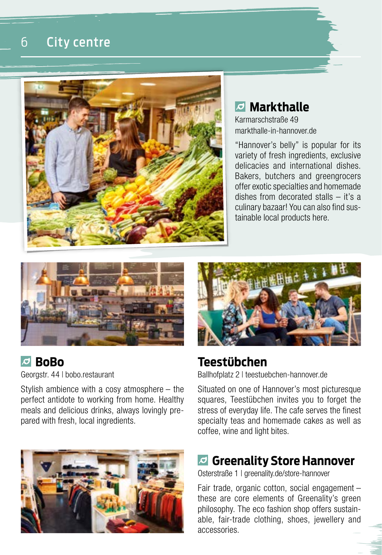



## **Markthalle**

Karmarschstraße 49 markthalle-in-hannover.de

"Hannover's belly" is popular for its variety of fresh ingredients, exclusive delicacies and international dishes. Bakers, butchers and greengrocers offer exotic specialties and homemade dishes from decorated stalls – it's a culinary bazaar! You can also find sustainable local products here.



#### **BoBo**

Georgstr. 44 | bobo.restaurant

Stylish ambience with a cosy atmosphere – the perfect antidote to working from home. Healthy meals and delicious drinks, always lovingly prepared with fresh, local ingredients.





## **Teestübchen**

Ballhofplatz 2 | teestuebchen-hannover.de

Situated on one of Hannover's most picturesque squares, Teestübchen invites you to forget the stress of everyday life. The cafe serves the finest specialty teas and homemade cakes as well as coffee, wine and light bites.

#### **Greenality Store Hannover**

Osterstraße 1 | greenality.de/store-hannover

Fair trade, organic cotton, social engagement – these are core elements of Greenality's green philosophy. The eco fashion shop offers sustainable, fair-trade clothing, shoes, jewellery and accessories.